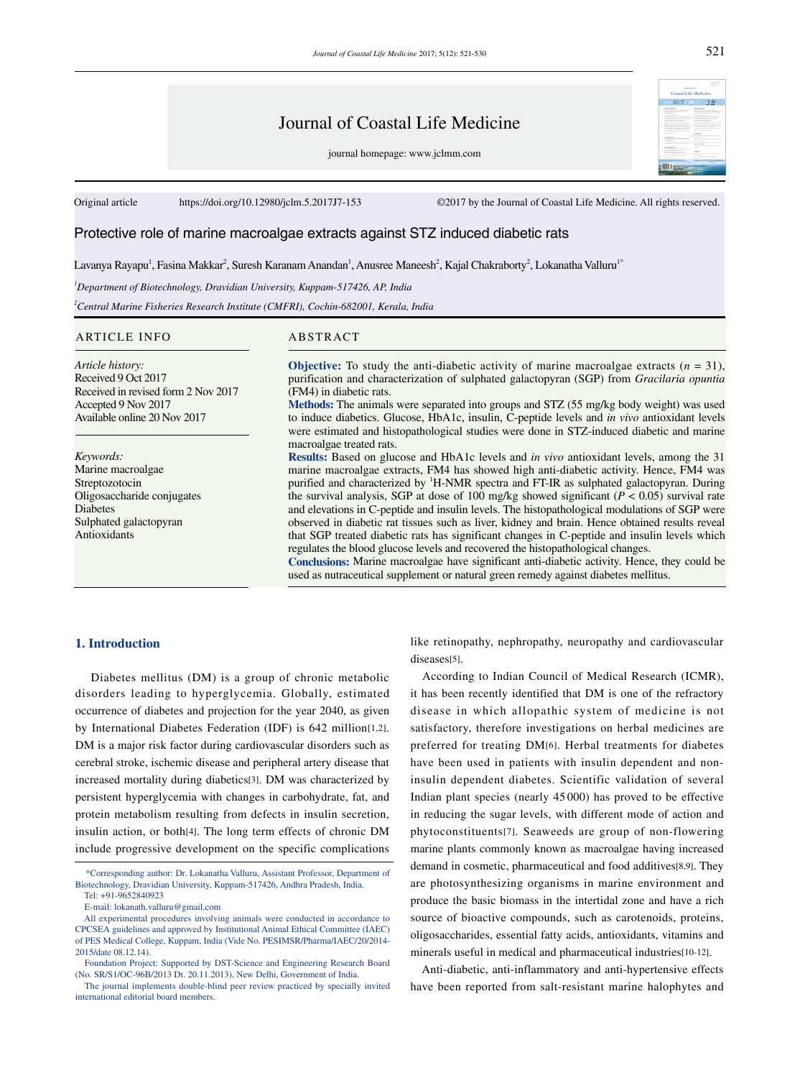# Journal of Coastal Life Medicine

journal homepage: www.jclmm.com

Original article https://doi.org/10.12980/jclm.5.2017J7-153 ©2017 by the Journal of Coastal Life Medicine. All rights reserved.

## Protective role of marine macroalgae extracts against STZ induced diabetic rats

Lavanya Rayapu<sup>1</sup>, Fasina Makkar<sup>2</sup>, Suresh Karanam Anandan<sup>1</sup>, Anusree Maneesh<sup>2</sup>, Kajal Chakraborty<sup>2</sup>, Lokanatha Valluru<sup>1</sup>\*

*1 Department of Biotechnology, Dravidian University, Kuppam-517426, AP, India*

*2 Central Marine Fisheries Research Institute (CMFRI), Cochin-682001, Kerala, India*

#### ARTICLE INFO ABSTRACT

*Article history:* Received 9 Oct 2017 Received in revised form 2 Nov 2017 Accepted 9 Nov 2017 Available online 20 Nov 2017

*Keywords:* Marine macroalgae Streptozotocin Oligosaccharide conjugates Diabetes Sulphated galactopyran Antioxidants

**Objective:** To study the anti-diabetic activity of marine macroalgae extracts  $(n = 31)$ , purification and characterization of sulphated galactopyran (SGP) from *Gracilaria opuntia*  (FM4) in diabetic rats.

**Methods:** The animals were separated into groups and STZ (55 mg/kg body weight) was used to induce diabetics. Glucose, HbA1c, insulin, C-peptide levels and *in vivo* antioxidant levels were estimated and histopathological studies were done in STZ-induced diabetic and marine macroalgae treated rats.

**Results:** Based on glucose and HbA1c levels and *in vivo* antioxidant levels, among the 31 marine macroalgae extracts, FM4 has showed high anti-diabetic activity. Hence, FM4 was purified and characterized by <sup>1</sup>H-NMR spectra and FT-IR as sulphated galactopyran. During the survival analysis, SGP at dose of 100 mg/kg showed significant (*P* < 0.05) survival rate and elevations in C-peptide and insulin levels. The histopathological modulations of SGP were observed in diabetic rat tissues such as liver, kidney and brain. Hence obtained results reveal that SGP treated diabetic rats has significant changes in C-peptide and insulin levels which regulates the blood glucose levels and recovered the histopathological changes.

**Conclusions:** Marine macroalgae have significant anti-diabetic activity. Hence, they could be used as nutraceutical supplement or natural green remedy against diabetes mellitus.

## **1. Introduction**

 Diabetes mellitus (DM) is a group of chronic metabolic disorders leading to hyperglycemia. Globally, estimated occurrence of diabetes and projection for the year 2040, as given by International Diabetes Federation (IDF) is 642 million[1,2]. DM is a major risk factor during cardiovascular disorders such as cerebral stroke, ischemic disease and peripheral artery disease that increased mortality during diabetics[3]. DM was characterized by persistent hyperglycemia with changes in carbohydrate, fat, and protein metabolism resulting from defects in insulin secretion, insulin action, or both[4]. The long term effects of chronic DM include progressive development on the specific complications like retinopathy, nephropathy, neuropathy and cardiovascular diseases[5].

 According to Indian Council of Medical Research (ICMR), it has been recently identified that DM is one of the refractory disease in which allopathic system of medicine is not satisfactory, therefore investigations on herbal medicines are preferred for treating DM[6]. Herbal treatments for diabetes have been used in patients with insulin dependent and noninsulin dependent diabetes. Scientific validation of several Indian plant species (nearly 45 000) has proved to be effective in reducing the sugar levels, with different mode of action and phytoconstituents[7]. Seaweeds are group of non-flowering marine plants commonly known as macroalgae having increased demand in cosmetic, pharmaceutical and food additives[8,9]. They are photosynthesizing organisms in marine environment and produce the basic biomass in the intertidal zone and have a rich source of bioactive compounds, such as carotenoids, proteins, oligosaccharides, essential fatty acids, antioxidants, vitamins and minerals useful in medical and pharmaceutical industries[10-12].

 Anti-diabetic, anti-inflammatory and anti-hypertensive effects have been reported from salt-resistant marine halophytes and

 $12^{-}$ 

inend of<br>Al-Life At 8017-

 <sup>\*</sup>Corresponding author: Dr. Lokanatha Valluru, Assistant Professor, Department of Biotechnology, Dravidian University, Kuppam-517426, Andhra Pradesh, India. Tel: +91-9652840923

E-mail: lokanath.valluru@gmail.com

All experimental procedures involving animals were conducted in accordance to CPCSEA guidelines and approved by Institutional Animal Ethical Committee (IAEC) of PES Medical College, Kuppam, India (Vide No. PESIMSR/Pharma/IAEC/20/2014- 2015/date 08.12.14).

Foundation Project: Supported by DST-Science and Engineering Research Board (No. SR/S1/OC-96B/2013 Dt. 20.11.2013), New Delhi, Government of India.

The journal implements double-blind peer review practiced by specially invited international editorial board members.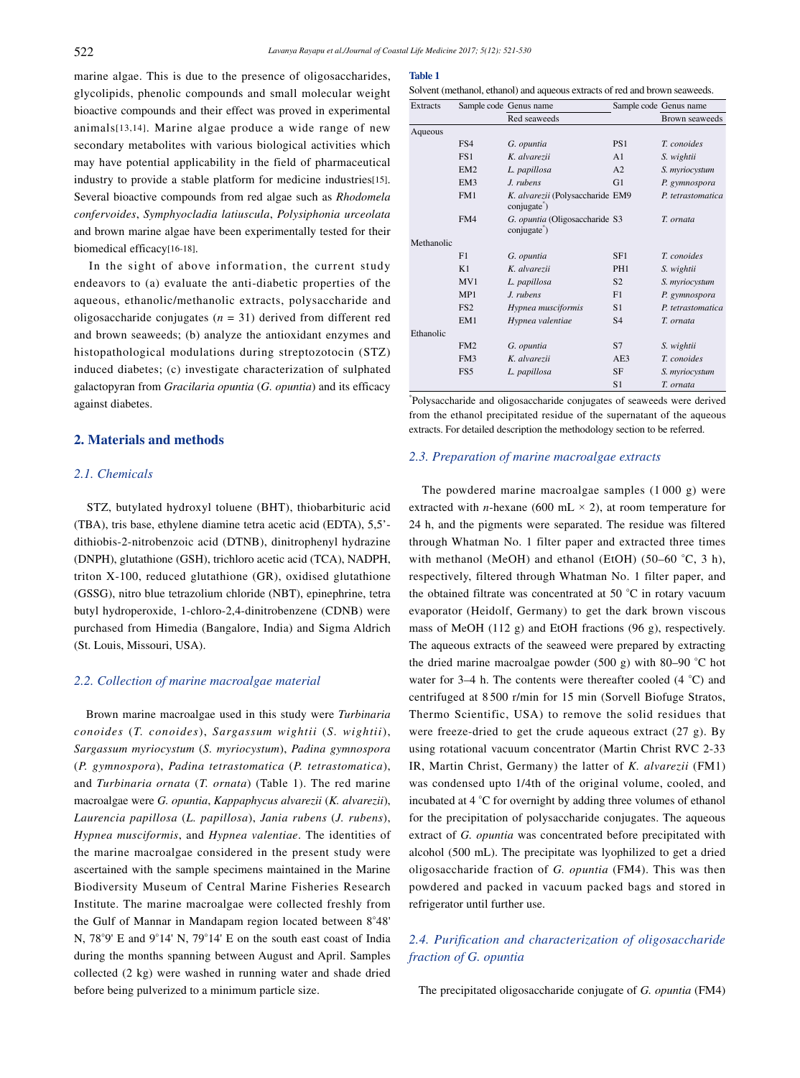marine algae. This is due to the presence of oligosaccharides, glycolipids, phenolic compounds and small molecular weight bioactive compounds and their effect was proved in experimental animals[13,14]. Marine algae produce a wide range of new secondary metabolites with various biological activities which may have potential applicability in the field of pharmaceutical industry to provide a stable platform for medicine industries[15]. Several bioactive compounds from red algae such as *Rhodomela confervoides*, *Symphyocladia latiuscula*, *Polysiphonia urceolata* and brown marine algae have been experimentally tested for their biomedical efficacy[16-18].

 In the sight of above information, the current study endeavors to (a) evaluate the anti-diabetic properties of the aqueous, ethanolic/methanolic extracts, polysaccharide and oligosaccharide conjugates (*n* = 31) derived from different red and brown seaweeds; (b) analyze the antioxidant enzymes and histopathological modulations during streptozotocin (STZ) induced diabetes; (c) investigate characterization of sulphated galactopyran from *Gracilaria opuntia* (*G. opuntia*) and its efficacy against diabetes.

## **2. Materials and methods**

## *2.1. Chemicals*

 STZ, butylated hydroxyl toluene (BHT), thiobarbituric acid (TBA), tris base, ethylene diamine tetra acetic acid (EDTA), 5,5' dithiobis-2-nitrobenzoic acid (DTNB), dinitrophenyl hydrazine (DNPH), glutathione (GSH), trichloro acetic acid (TCA), NADPH, triton X-100, reduced glutathione (GR), oxidised glutathione (GSSG), nitro blue tetrazolium chloride (NBT), epinephrine, tetra butyl hydroperoxide, 1-chloro-2,4-dinitrobenzene (CDNB) were purchased from Himedia (Bangalore, India) and Sigma Aldrich (St. Louis, Missouri, USA).

#### *2.2. Collection of marine macroalgae material*

 Brown marine macroalgae used in this study were *Turbinaria conoides* (*T. conoides*), *Sargassum wightii* (*S. wightii*), *Sargassum myriocystum* (*S. myriocystum*), *Padina gymnospora* (*P. gymnospora*), *Padina tetrastomatica* (*P. tetrastomatica*), and *Turbinaria ornata* (*T. ornata*) (Table 1). The red marine macroalgae were *G. opuntia*, *Kappaphycus alvarezii* (*K. alvarezii*), *Laurencia papillosa* (*L. papillosa*), *Jania rubens* (*J. rubens*), *Hypnea musciformis*, and *Hypnea valentiae*. The identities of the marine macroalgae considered in the present study were ascertained with the sample specimens maintained in the Marine Biodiversity Museum of Central Marine Fisheries Research Institute. The marine macroalgae were collected freshly from the Gulf of Mannar in Mandapam region located between 8°48' N, 78°9' E and 9°14' N, 79°14' E on the south east coast of India during the months spanning between August and April. Samples collected (2 kg) were washed in running water and shade dried before being pulverized to a minimum particle size.

## **Table 1**

| Solvent (methanol, ethanol) and aqueous extracts of red and brown seaweeds. |  |
|-----------------------------------------------------------------------------|--|
|-----------------------------------------------------------------------------|--|

| <b>Extracts</b> |                 | Sample code Genus name                                       |                 | Sample code Genus name |  |
|-----------------|-----------------|--------------------------------------------------------------|-----------------|------------------------|--|
|                 |                 | Red seaweeds                                                 |                 | Brown seaweeds         |  |
| Aqueous         |                 |                                                              |                 |                        |  |
|                 | FS4             | G. opuntia                                                   | PS <sub>1</sub> | T. conoides            |  |
|                 | FS1             | K. alvarezii                                                 | A <sub>1</sub>  | S. wightii             |  |
|                 | EM <sub>2</sub> | L. papillosa                                                 | A2              | S. myriocystum         |  |
|                 | EM3             | J. rubens                                                    | G <sub>1</sub>  | P. gymnospora          |  |
|                 | FM1             | K. alvarezii (Polysaccharide EM9<br>conjugate <sup>"</sup> ) |                 | P. tetrastomatica      |  |
|                 | FM4             | G. opuntia (Oligosaccharide S3<br>conjugate <sup>*</sup> )   |                 | T. ornata              |  |
| Methanolic      |                 |                                                              |                 |                        |  |
|                 | F1              | G. opuntia                                                   | SF <sub>1</sub> | T. conoides            |  |
|                 | K1              | K. alvarezii                                                 | PH <sub>1</sub> | S. wightii             |  |
|                 | MV1             | L. papillosa                                                 | S <sub>2</sub>  | S. myriocystum         |  |
|                 | MP1             | J. rubens                                                    | F1              | P. gymnospora          |  |
|                 | FS <sub>2</sub> | Hypnea musciformis                                           | S1              | P. tetrastomatica      |  |
|                 | EM1             | Hypnea valentiae                                             | S <sub>4</sub>  | T. ornata              |  |
| Ethanolic       |                 |                                                              |                 |                        |  |
|                 | FM <sub>2</sub> | G. opuntia                                                   | S7              | S. wightii             |  |
|                 | FM3             | K. alvarezii                                                 | AE3             | T. conoides            |  |
|                 | FS5             | L. papillosa                                                 | <b>SF</b>       | S. myriocystum         |  |
|                 |                 |                                                              | S1              | T. ornata              |  |

\* Polysaccharide and oligosaccharide conjugates of seaweeds were derived from the ethanol precipitated residue of the supernatant of the aqueous extracts. For detailed description the methodology section to be referred.

#### *2.3. Preparation of marine macroalgae extracts*

 The powdered marine macroalgae samples (1 000 g) were extracted with *n*-hexane (600 mL  $\times$  2), at room temperature for 24 h, and the pigments were separated. The residue was filtered through Whatman No. 1 filter paper and extracted three times with methanol (MeOH) and ethanol (EtOH) (50–60 °C, 3 h), respectively, filtered through Whatman No. 1 filter paper, and the obtained filtrate was concentrated at 50 °C in rotary vacuum evaporator (Heidolf, Germany) to get the dark brown viscous mass of MeOH (112 g) and EtOH fractions (96 g), respectively. The aqueous extracts of the seaweed were prepared by extracting the dried marine macroalgae powder (500 g) with 80–90 °C hot water for 3–4 h. The contents were thereafter cooled (4 °C) and centrifuged at 8 500 r/min for 15 min (Sorvell Biofuge Stratos, Thermo Scientific, USA) to remove the solid residues that were freeze-dried to get the crude aqueous extract (27 g). By using rotational vacuum concentrator (Martin Christ RVC 2-33 IR, Martin Christ, Germany) the latter of *K. alvarezii* (FM1) was condensed upto 1/4th of the original volume, cooled, and incubated at 4 °C for overnight by adding three volumes of ethanol for the precipitation of polysaccharide conjugates. The aqueous extract of *G. opuntia* was concentrated before precipitated with alcohol (500 mL). The precipitate was lyophilized to get a dried oligosaccharide fraction of *G. opuntia* (FM4). This was then powdered and packed in vacuum packed bags and stored in refrigerator until further use.

# *2.4. Purification and characterization of oligosaccharide fraction of G. opuntia*

The precipitated oligosaccharide conjugate of *G. opuntia* (FM4)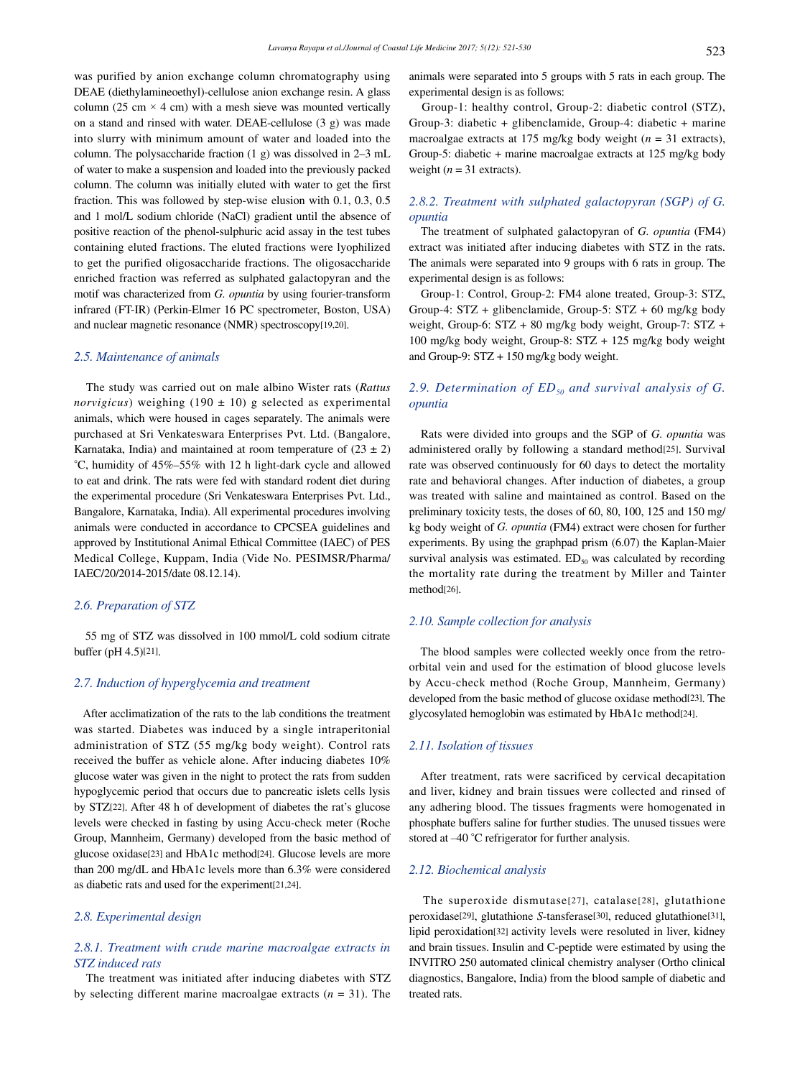was purified by anion exchange column chromatography using DEAE (diethylamineoethyl)-cellulose anion exchange resin. A glass column (25 cm  $\times$  4 cm) with a mesh sieve was mounted vertically on a stand and rinsed with water. DEAE-cellulose (3 g) was made into slurry with minimum amount of water and loaded into the column. The polysaccharide fraction (1 g) was dissolved in 2–3 mL of water to make a suspension and loaded into the previously packed column. The column was initially eluted with water to get the first fraction. This was followed by step-wise elusion with 0.1, 0.3, 0.5 and 1 mol/L sodium chloride (NaCl) gradient until the absence of positive reaction of the phenol-sulphuric acid assay in the test tubes containing eluted fractions. The eluted fractions were lyophilized to get the purified oligosaccharide fractions. The oligosaccharide enriched fraction was referred as sulphated galactopyran and the motif was characterized from *G. opuntia* by using fourier-transform infrared (FT-IR) (Perkin-Elmer 16 PC spectrometer, Boston, USA) and nuclear magnetic resonance (NMR) spectroscopy[19,20].

## *2.5. Maintenance of animals*

 The study was carried out on male albino Wister rats (*Rattus norvigicus*) weighing (190 ± 10) g selected as experimental animals, which were housed in cages separately. The animals were purchased at Sri Venkateswara Enterprises Pvt. Ltd. (Bangalore, Karnataka, India) and maintained at room temperature of  $(23 \pm 2)$ °C, humidity of 45%–55% with 12 h light-dark cycle and allowed to eat and drink. The rats were fed with standard rodent diet during the experimental procedure (Sri Venkateswara Enterprises Pvt. Ltd., Bangalore, Karnataka, India). All experimental procedures involving animals were conducted in accordance to CPCSEA guidelines and approved by Institutional Animal Ethical Committee (IAEC) of PES Medical College, Kuppam, India (Vide No. PESIMSR/Pharma/ IAEC/20/2014-2015/date 08.12.14).

#### *2.6. Preparation of STZ*

 55 mg of STZ was dissolved in 100 mmol/L cold sodium citrate buffer (pH 4.5)[21].

#### *2.7. Induction of hyperglycemia and treatment*

 After acclimatization of the rats to the lab conditions the treatment was started. Diabetes was induced by a single intraperitonial administration of STZ (55 mg/kg body weight). Control rats received the buffer as vehicle alone. After inducing diabetes 10% glucose water was given in the night to protect the rats from sudden hypoglycemic period that occurs due to pancreatic islets cells lysis by STZ[22]. After 48 h of development of diabetes the rat's glucose levels were checked in fasting by using Accu-check meter (Roche Group, Mannheim, Germany) developed from the basic method of glucose oxidase[23] and HbA1c method[24]. Glucose levels are more than 200 mg/dL and HbA1c levels more than 6.3% were considered as diabetic rats and used for the experiment[21,24].

## *2.8. Experimental design*

## *2.8.1. Treatment with crude marine macroalgae extracts in STZ induced rats*

 The treatment was initiated after inducing diabetes with STZ by selecting different marine macroalgae extracts (*n* = 31). The

animals were separated into 5 groups with 5 rats in each group. The experimental design is as follows:

 Group-1: healthy control, Group-2: diabetic control (STZ), Group-3: diabetic + glibenclamide, Group-4: diabetic + marine macroalgae extracts at 175 mg/kg body weight (*n* = 31 extracts), Group-5: diabetic + marine macroalgae extracts at 125 mg/kg body weight  $(n = 31$  extracts).

## *2.8.2. Treatment with sulphated galactopyran (SGP) of G. opuntia*

 The treatment of sulphated galactopyran of *G. opuntia* (FM4) extract was initiated after inducing diabetes with STZ in the rats. The animals were separated into 9 groups with 6 rats in group. The experimental design is as follows:

 Group-1: Control, Group-2: FM4 alone treated, Group-3: STZ, Group-4: STZ + glibenclamide, Group-5: STZ + 60 mg/kg body weight, Group-6: STZ + 80 mg/kg body weight, Group-7: STZ + 100 mg/kg body weight, Group-8: STZ + 125 mg/kg body weight and Group-9: STZ + 150 mg/kg body weight.

## 2.9. Determination of ED<sub>50</sub> and survival analysis of G. *opuntia*

 Rats were divided into groups and the SGP of *G. opuntia* was administered orally by following a standard method[25]. Survival rate was observed continuously for 60 days to detect the mortality rate and behavioral changes. After induction of diabetes, a group was treated with saline and maintained as control. Based on the preliminary toxicity tests, the doses of 60, 80, 100, 125 and 150 mg/ kg body weight of *G. opuntia* (FM4) extract were chosen for further experiments. By using the graphpad prism (6.07) the Kaplan-Maier survival analysis was estimated.  $ED_{50}$  was calculated by recording the mortality rate during the treatment by Miller and Tainter method[26].

## *2.10. Sample collection for analysis*

 The blood samples were collected weekly once from the retroorbital vein and used for the estimation of blood glucose levels by Accu-check method (Roche Group, Mannheim, Germany) developed from the basic method of glucose oxidase method<sup>[23]</sup>. The glycosylated hemoglobin was estimated by HbA1c method[24].

#### *2.11. Isolation of tissues*

 After treatment, rats were sacrificed by cervical decapitation and liver, kidney and brain tissues were collected and rinsed of any adhering blood. The tissues fragments were homogenated in phosphate buffers saline for further studies. The unused tissues were stored at –40 °C refrigerator for further analysis.

## *2.12. Biochemical analysis*

 The superoxide dismutase[27], catalase[28], glutathione peroxidase[29], glutathione *S*-tansferase[30], reduced glutathione[31], lipid peroxidation[32] activity levels were resoluted in liver, kidney and brain tissues. Insulin and C-peptide were estimated by using the INVITRO 250 automated clinical chemistry analyser (Ortho clinical diagnostics, Bangalore, India) from the blood sample of diabetic and treated rats.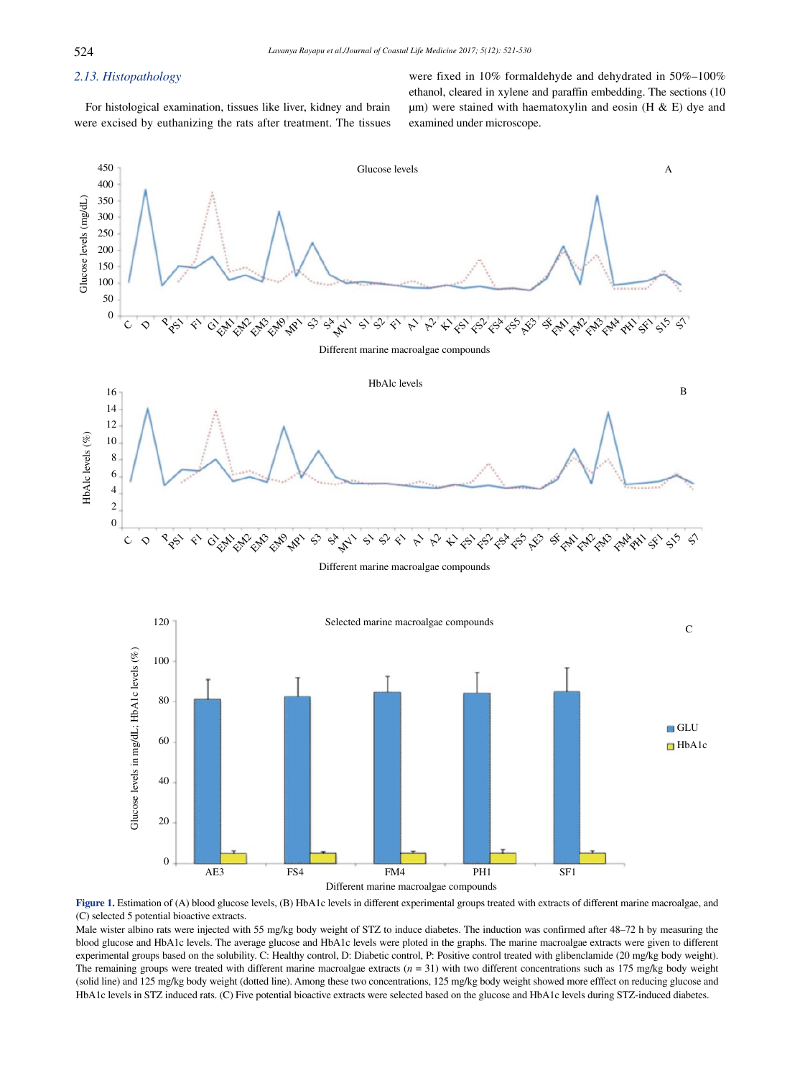## *2.13. Histopathology*

 For histological examination, tissues like liver, kidney and brain were excised by euthanizing the rats after treatment. The tissues were fixed in 10% formaldehyde and dehydrated in 50%–100% ethanol, cleared in xylene and paraffin embedding. The sections (10  $\mu$ m) were stained with haematoxylin and eosin (H & E) dye and examined under microscope.



**Figure 1.** Estimation of (A) blood glucose levels, (B) HbA1c levels in different experimental groups treated with extracts of different marine macroalgae, and (C) selected 5 potential bioactive extracts.

Male wister albino rats were injected with 55 mg/kg body weight of STZ to induce diabetes. The induction was confirmed after 48–72 h by measuring the blood glucose and HbA1c levels. The average glucose and HbA1c levels were ploted in the graphs. The marine macroalgae extracts were given to different experimental groups based on the solubility. C: Healthy control, D: Diabetic control, P: Positive control treated with glibenclamide (20 mg/kg body weight). The remaining groups were treated with different marine macroalgae extracts (*n* = 31) with two different concentrations such as 175 mg/kg body weight (solid line) and 125 mg/kg body weight (dotted line). Among these two concentrations, 125 mg/kg body weight showed more efffect on reducing glucose and HbA1c levels in STZ induced rats. (C) Five potential bioactive extracts were selected based on the glucose and HbA1c levels during STZ-induced diabetes.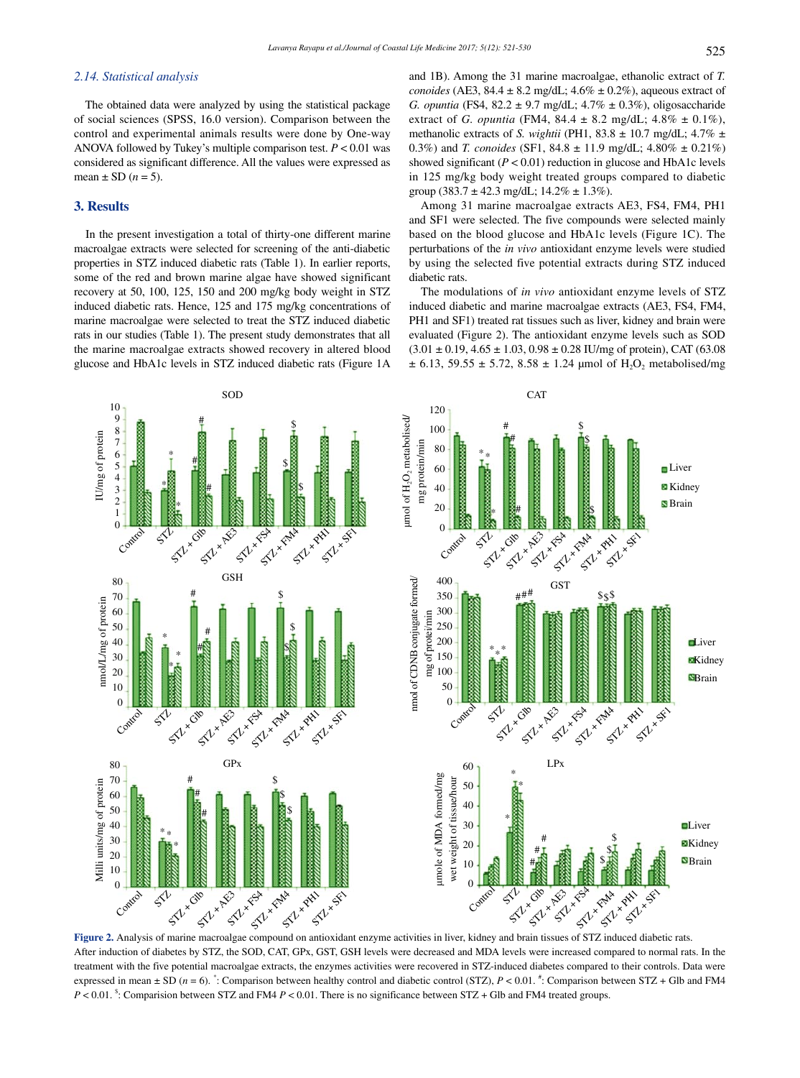#### *2.14. Statistical analysis*

 The obtained data were analyzed by using the statistical package of social sciences (SPSS, 16.0 version). Comparison between the control and experimental animals results were done by One-way ANOVA followed by Tukey's multiple comparison test. *P* < 0.01 was considered as significant difference. All the values were expressed as mean  $\pm$  SD ( $n = 5$ ).

#### **3. Results**

 In the present investigation a total of thirty-one different marine macroalgae extracts were selected for screening of the anti-diabetic properties in STZ induced diabetic rats (Table 1). In earlier reports, some of the red and brown marine algae have showed significant recovery at 50, 100, 125, 150 and 200 mg/kg body weight in STZ induced diabetic rats. Hence, 125 and 175 mg/kg concentrations of marine macroalgae were selected to treat the STZ induced diabetic rats in our studies (Table 1). The present study demonstrates that all the marine macroalgae extracts showed recovery in altered blood glucose and HbA1c levels in STZ induced diabetic rats (Figure 1A and 1B). Among the 31 marine macroalgae, ethanolic extract of *T. conoides* (AE3, 84.4  $\pm$  8.2 mg/dL; 4.6%  $\pm$  0.2%), aqueous extract of *G. opuntia* (FS4, 82.2 ± 9.7 mg/dL; 4.7% ± 0.3%), oligosaccharide extract of *G. opuntia* (FM4, 84.4 ± 8.2 mg/dL; 4.8% ± 0.1%), methanolic extracts of *S. wightii* (PH1, 83.8  $\pm$  10.7 mg/dL; 4.7%  $\pm$ 0.3%) and *T. conoides* (SF1, 84.8 ± 11.9 mg/dL; 4.80% ± 0.21%) showed significant  $(P < 0.01)$  reduction in glucose and HbA1c levels in 125 mg/kg body weight treated groups compared to diabetic group (383.7  $\pm$  42.3 mg/dL; 14.2%  $\pm$  1.3%).

 Among 31 marine macroalgae extracts AE3, FS4, FM4, PH1 and SF1 were selected. The five compounds were selected mainly based on the blood glucose and HbA1c levels (Figure 1C). The perturbations of the *in vivo* antioxidant enzyme levels were studied by using the selected five potential extracts during STZ induced diabetic rats.

 The modulations of *in vivo* antioxidant enzyme levels of STZ induced diabetic and marine macroalgae extracts (AE3, FS4, FM4, PH1 and SF1) treated rat tissues such as liver, kidney and brain were evaluated (Figure 2). The antioxidant enzyme levels such as SOD  $(3.01 \pm 0.19, 4.65 \pm 1.03, 0.98 \pm 0.28$  IU/mg of protein), CAT (63.08  $\pm$  6.13, 59.55  $\pm$  5.72, 8.58  $\pm$  1.24 µmol of H<sub>2</sub>O<sub>2</sub> metabolised/mg



After induction of diabetes by STZ, the SOD, CAT, GPx, GST, GSH levels were decreased and MDA levels were increased compared to normal rats. In the treatment with the five potential macroalgae extracts, the enzymes activities were recovered in STZ-induced diabetes compared to their controls. Data were expressed in mean  $\pm$  SD ( $n = 6$ ).  $\cdot$ : Comparison between healthy control and diabetic control (STZ),  $P < 0.01$ .  $\cdot$ : Comparison between STZ + Glb and FM4 *P* < 0.01. \$ : Comparision between STZ and FM4 *P* < 0.01. There is no significance between STZ + Glb and FM4 treated groups.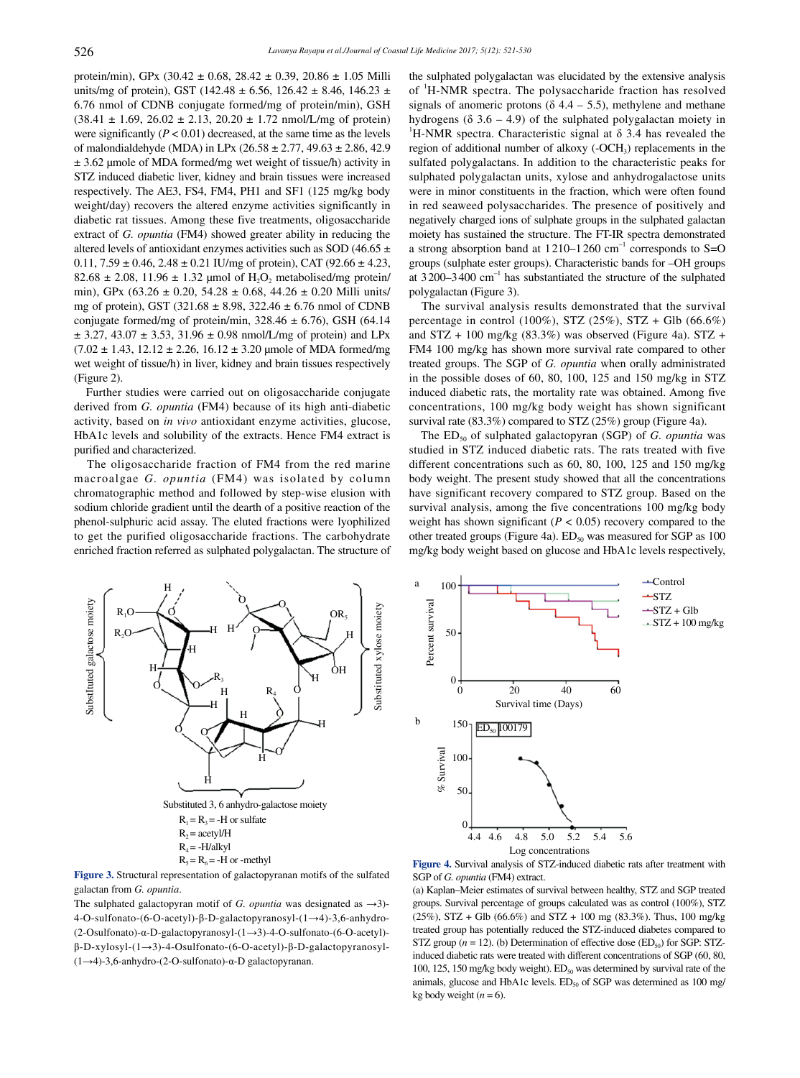protein/min), GPx (30.42 ± 0.68, 28.42 ± 0.39, 20.86 ± 1.05 Milli units/mg of protein), GST (142.48  $\pm$  6.56, 126.42  $\pm$  8.46, 146.23  $\pm$ 6.76 nmol of CDNB conjugate formed/mg of protein/min), GSH  $(38.41 \pm 1.69, 26.02 \pm 2.13, 20.20 \pm 1.72 \text{ nmol/L/mg of protein})$ were significantly  $(P < 0.01)$  decreased, at the same time as the levels of malondialdehyde (MDA) in LPx (26.58 ± 2.77, 49.63 ± 2.86, 42.9 ± 3.62 μmole of MDA formed/mg wet weight of tissue/h) activity in STZ induced diabetic liver, kidney and brain tissues were increased respectively. The AE3, FS4, FM4, PH1 and SF1 (125 mg/kg body weight/day) recovers the altered enzyme activities significantly in diabetic rat tissues. Among these five treatments, oligosaccharide extract of *G. opuntia* (FM4) showed greater ability in reducing the altered levels of antioxidant enzymes activities such as SOD (46.65  $\pm$  $0.11, 7.59 \pm 0.46, 2.48 \pm 0.21$  IU/mg of protein), CAT (92.66  $\pm$  4.23,  $82.68 \pm 2.08$ , 11.96  $\pm$  1.32 µmol of H<sub>2</sub>O<sub>2</sub> metabolised/mg protein/ min), GPx (63.26 ± 0.20, 54.28 ± 0.68, 44.26 ± 0.20 Milli units/ mg of protein), GST (321.68 ± 8.98, 322.46 ± 6.76 nmol of CDNB conjugate formed/mg of protein/min,  $328.46 \pm 6.76$ ), GSH (64.14)  $\pm$  3.27, 43.07  $\pm$  3.53, 31.96  $\pm$  0.98 nmol/L/mg of protein) and LPx  $(7.02 \pm 1.43, 12.12 \pm 2.26, 16.12 \pm 3.20 \text{ \mu}$  mole of MDA formed/mg wet weight of tissue/h) in liver, kidney and brain tissues respectively (Figure 2).

 Further studies were carried out on oligosaccharide conjugate derived from *G. opuntia* (FM4) because of its high anti-diabetic activity, based on *in vivo* antioxidant enzyme activities, glucose, HbA1c levels and solubility of the extracts. Hence FM4 extract is purified and characterized.

 The oligosaccharide fraction of FM4 from the red marine macroalgae *G. opuntia* (FM4) was isolated by column chromatographic method and followed by step-wise elusion with sodium chloride gradient until the dearth of a positive reaction of the phenol-sulphuric acid assay. The eluted fractions were lyophilized to get the purified oligosaccharide fractions. The carbohydrate enriched fraction referred as sulphated polygalactan. The structure of the sulphated polygalactan was elucidated by the extensive analysis of <sup>1</sup>H-NMR spectra. The polysaccharide fraction has resolved signals of anomeric protons ( $\delta$  4.4 – 5.5), methylene and methane hydrogens ( $\delta$  3.6 – 4.9) of the sulphated polygalactan moiety in <sup>1</sup>H-NMR spectra. Characteristic signal at  $\delta$  3.4 has revealed the region of additional number of alkoxy  $(-OCH_3)$  replacements in the sulfated polygalactans. In addition to the characteristic peaks for sulphated polygalactan units, xylose and anhydrogalactose units were in minor constituents in the fraction, which were often found in red seaweed polysaccharides. The presence of positively and negatively charged ions of sulphate groups in the sulphated galactan moiety has sustained the structure. The FT-IR spectra demonstrated a strong absorption band at  $1210-1260$  cm<sup>-1</sup> corresponds to S=O groups (sulphate ester groups). Characteristic bands for –OH groups at  $3200-3400$  cm<sup>-1</sup> has substantiated the structure of the sulphated polygalactan (Figure 3).

 The survival analysis results demonstrated that the survival percentage in control (100%), STZ (25%), STZ + Glb (66.6%) and  $STZ + 100$  mg/kg (83.3%) was observed (Figure 4a).  $STZ +$ FM4 100 mg/kg has shown more survival rate compared to other treated groups. The SGP of *G. opuntia* when orally administrated in the possible doses of 60, 80, 100, 125 and 150 mg/kg in STZ induced diabetic rats, the mortality rate was obtained. Among five concentrations, 100 mg/kg body weight has shown significant survival rate (83.3%) compared to STZ (25%) group (Figure 4a).

The ED<sub>50</sub> of sulphated galactopyran (SGP) of *G. opuntia* was studied in STZ induced diabetic rats. The rats treated with five different concentrations such as 60, 80, 100, 125 and 150 mg/kg body weight. The present study showed that all the concentrations have significant recovery compared to STZ group. Based on the survival analysis, among the five concentrations 100 mg/kg body weight has shown significant (*P* < 0.05) recovery compared to the other treated groups (Figure 4a).  $ED_{50}$  was measured for SGP as 100 mg/kg body weight based on glucose and HbA1c levels respectively,



**Figure 3.** Structural representation of galactopyranan motifs of the sulfated galactan from *G. opuntia*.

The sulphated galactopyran motif of *G. opuntia* was designated as →3)- 4-O-sulfonato-(6-O-acetyl)-β-D-galactopyranosyl-(1→4)-3,6-anhydro- (2-Osulfonato)-α-D-galactopyranosyl-(1→3)-4-O-sulfonato-(6-O-acetyl) β-D-xylosyl-(1→3)-4-Osulfonato-(6-O-acetyl)-β-D-galactopyranosyl- (1→4)-3,6-anhydro-(2-O-sulfonato)-α-D galactopyranan.



**Figure 4.** Survival analysis of STZ-induced diabetic rats after treatment with SGP of *G. opuntia* (FM4) extract.

(a) Kaplan–Meier estimates of survival between healthy, STZ and SGP treated groups. Survival percentage of groups calculated was as control (100%), STZ  $(25\%)$ , STZ + Glb  $(66.6\%)$  and STZ + 100 mg  $(83.3\%)$ . Thus, 100 mg/kg treated group has potentially reduced the STZ-induced diabetes compared to STZ group  $(n = 12)$ . (b) Determination of effective dose  $(ED_{50})$  for SGP: STZinduced diabetic rats were treated with different concentrations of SGP (60, 80, 100, 125, 150 mg/kg body weight).  $ED_{50}$  was determined by survival rate of the animals, glucose and HbA1c levels.  $ED_{50}$  of SGP was determined as 100 mg/ kg body weight  $(n = 6)$ .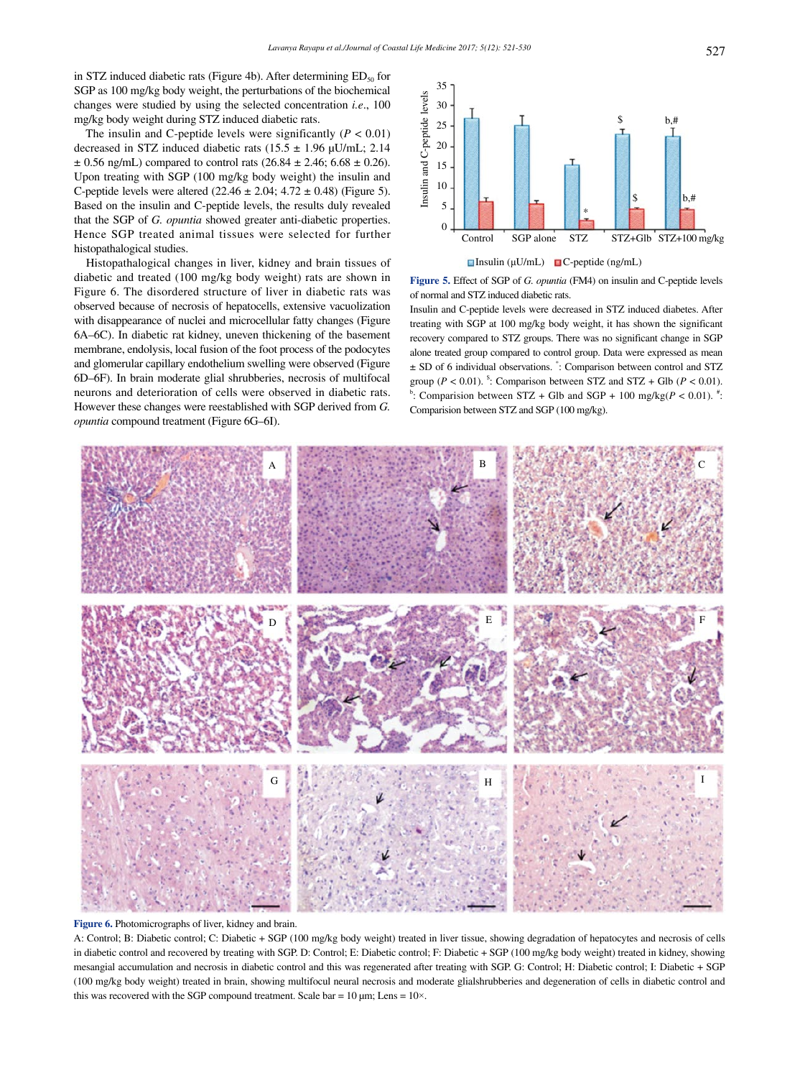in STZ induced diabetic rats (Figure 4b). After determining  $ED_{50}$  for SGP as 100 mg/kg body weight, the perturbations of the biochemical changes were studied by using the selected concentration *i.e*., 100 mg/kg body weight during STZ induced diabetic rats.

The insulin and C-peptide levels were significantly  $(P < 0.01)$ decreased in STZ induced diabetic rats (15.5  $\pm$  1.96 µU/mL; 2.14  $\pm$  0.56 ng/mL) compared to control rats (26.84  $\pm$  2.46; 6.68  $\pm$  0.26). Upon treating with SGP (100 mg/kg body weight) the insulin and C-peptide levels were altered  $(22.46 \pm 2.04; 4.72 \pm 0.48)$  (Figure 5). Based on the insulin and C-peptide levels, the results duly revealed that the SGP of *G. opuntia* showed greater anti-diabetic properties. Hence SGP treated animal tissues were selected for further histopathalogical studies.

 Histopathalogical changes in liver, kidney and brain tissues of diabetic and treated (100 mg/kg body weight) rats are shown in Figure 6. The disordered structure of liver in diabetic rats was observed because of necrosis of hepatocells, extensive vacuolization with disappearance of nuclei and microcellular fatty changes (Figure 6A–6C). In diabetic rat kidney, uneven thickening of the basement membrane, endolysis, local fusion of the foot process of the podocytes and glomerular capillary endothelium swelling were observed (Figure 6D–6F). In brain moderate glial shrubberies, necrosis of multifocal neurons and deterioration of cells were observed in diabetic rats. However these changes were reestablished with SGP derived from *G. opuntia* compound treatment (Figure 6G–6I).



**Figure 5.** Effect of SGP of *G. opuntia* (FM4) on insulin and C-peptide levels of normal and STZ induced diabetic rats.

Insulin and C-peptide levels were decreased in STZ induced diabetes. After treating with SGP at 100 mg/kg body weight, it has shown the significant recovery compared to STZ groups. There was no significant change in SGP alone treated group compared to control group. Data were expressed as mean ± SD of 6 individual observations. \* : Comparison between control and STZ group (*P* < 0.01). <sup>5</sup>: Comparison between STZ and STZ + Glb (*P* < 0.01). <sup>#</sup>:<br>Comparison between STZ + Glb and SGB + 100 medics(*B* < 0.01). <sup>#</sup>: : Comparision between  $STZ + Glb$  and  $SGP + 100$  mg/kg( $P < 0.01$ ).<sup>#</sup>: Comparision between STZ and SGP (100 mg/kg).



**Figure 6.** Photomicrographs of liver, kidney and brain.

A: Control; B: Diabetic control; C: Diabetic + SGP (100 mg/kg body weight) treated in liver tissue, showing degradation of hepatocytes and necrosis of cells in diabetic control and recovered by treating with SGP. D: Control; E: Diabetic control; F: Diabetic + SGP (100 mg/kg body weight) treated in kidney, showing mesangial accumulation and necrosis in diabetic control and this was regenerated after treating with SGP. G: Control; H: Diabetic control; I: Diabetic + SGP (100 mg/kg body weight) treated in brain, showing multifocul neural necrosis and moderate glialshrubberies and degeneration of cells in diabetic control and this was recovered with the SGP compound treatment. Scale bar =  $10 \mu m$ ; Lens =  $10 \times$ .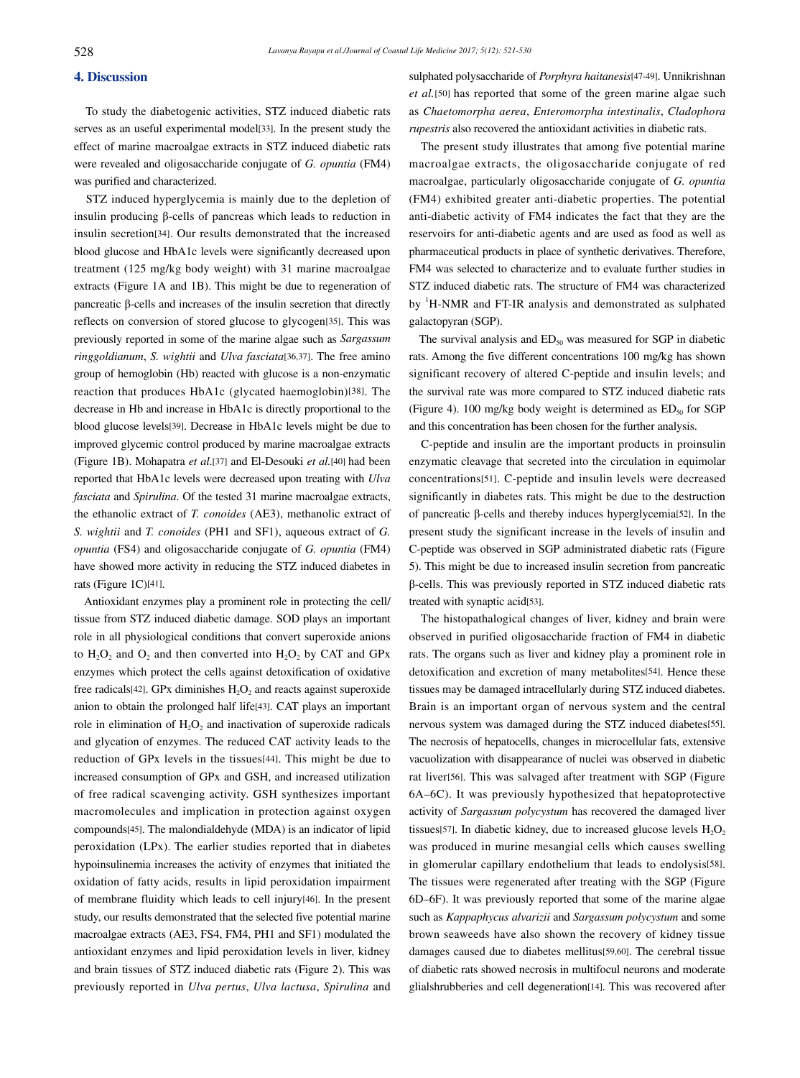## **4. Discussion**

 To study the diabetogenic activities, STZ induced diabetic rats serves as an useful experimental model[33]. In the present study the effect of marine macroalgae extracts in STZ induced diabetic rats were revealed and oligosaccharide conjugate of *G. opuntia* (FM4) was purified and characterized.

 STZ induced hyperglycemia is mainly due to the depletion of insulin producing β-cells of pancreas which leads to reduction in insulin secretion[34]. Our results demonstrated that the increased blood glucose and HbA1c levels were significantly decreased upon treatment (125 mg/kg body weight) with 31 marine macroalgae extracts (Figure 1A and 1B). This might be due to regeneration of pancreatic β-cells and increases of the insulin secretion that directly reflects on conversion of stored glucose to glycogen[35]. This was previously reported in some of the marine algae such as *Sargassum ringgoldianum*, *S. wightii* and *Ulva fasciata*[36,37]. The free amino group of hemoglobin (Hb) reacted with glucose is a non-enzymatic reaction that produces HbA1c (glycated haemoglobin)[38]. The decrease in Hb and increase in HbA1c is directly proportional to the blood glucose levels[39]. Decrease in HbA1c levels might be due to improved glycemic control produced by marine macroalgae extracts (Figure 1B). Mohapatra *et al*.[37] and El-Desouki *et al.*[40] had been reported that HbA1c levels were decreased upon treating with *Ulva fasciata* and *Spirulina*. Of the tested 31 marine macroalgae extracts, the ethanolic extract of *T. conoides* (AE3), methanolic extract of *S. wightii* and *T. conoides* (PH1 and SF1), aqueous extract of *G. opuntia* (FS4) and oligosaccharide conjugate of *G. opuntia* (FM4) have showed more activity in reducing the STZ induced diabetes in rats (Figure 1C)[41].

 Antioxidant enzymes play a prominent role in protecting the cell/ tissue from STZ induced diabetic damage. SOD plays an important role in all physiological conditions that convert superoxide anions to  $H_2O_2$  and  $O_2$  and then converted into  $H_2O_2$  by CAT and GPx enzymes which protect the cells against detoxification of oxidative free radicals<sup>[42]</sup>. GPx diminishes  $H_2O_2$  and reacts against superoxide anion to obtain the prolonged half life[43]. CAT plays an important role in elimination of  $H_2O_2$  and inactivation of superoxide radicals and glycation of enzymes. The reduced CAT activity leads to the reduction of GPx levels in the tissues[44]. This might be due to increased consumption of GPx and GSH, and increased utilization of free radical scavenging activity. GSH synthesizes important macromolecules and implication in protection against oxygen compounds[45]. The malondialdehyde (MDA) is an indicator of lipid peroxidation (LPx). The earlier studies reported that in diabetes hypoinsulinemia increases the activity of enzymes that initiated the oxidation of fatty acids, results in lipid peroxidation impairment of membrane fluidity which leads to cell injury[46]. In the present study, our results demonstrated that the selected five potential marine macroalgae extracts (AE3, FS4, FM4, PH1 and SF1) modulated the antioxidant enzymes and lipid peroxidation levels in liver, kidney and brain tissues of STZ induced diabetic rats (Figure 2). This was previously reported in *Ulva pertus*, *Ulva lactusa*, *Spirulina* and sulphated polysaccharide of *Porphyra haitanesis*[47-49]. Unnikrishnan *et al.*[50] has reported that some of the green marine algae such as *Chaetomorpha aerea*, *Enteromorpha intestinalis*, *Cladophora rupestris* also recovered the antioxidant activities in diabetic rats.

 The present study illustrates that among five potential marine macroalgae extracts, the oligosaccharide conjugate of red macroalgae, particularly oligosaccharide conjugate of *G. opuntia* (FM4) exhibited greater anti-diabetic properties. The potential anti-diabetic activity of FM4 indicates the fact that they are the reservoirs for anti-diabetic agents and are used as food as well as pharmaceutical products in place of synthetic derivatives. Therefore, FM4 was selected to characterize and to evaluate further studies in STZ induced diabetic rats. The structure of FM4 was characterized by <sup>1</sup>H-NMR and FT-IR analysis and demonstrated as sulphated galactopyran (SGP).

The survival analysis and  $ED_{50}$  was measured for SGP in diabetic rats. Among the five different concentrations 100 mg/kg has shown significant recovery of altered C-peptide and insulin levels; and the survival rate was more compared to STZ induced diabetic rats (Figure 4). 100 mg/kg body weight is determined as  $ED_{50}$  for SGP and this concentration has been chosen for the further analysis.

 C-peptide and insulin are the important products in proinsulin enzymatic cleavage that secreted into the circulation in equimolar concentrations[51]. C-peptide and insulin levels were decreased significantly in diabetes rats. This might be due to the destruction of pancreatic β-cells and thereby induces hyperglycemia[52]. In the present study the significant increase in the levels of insulin and C-peptide was observed in SGP administrated diabetic rats (Figure 5). This might be due to increased insulin secretion from pancreatic β-cells. This was previously reported in STZ induced diabetic rats treated with synaptic acid[53].

 The histopathalogical changes of liver, kidney and brain were observed in purified oligosaccharide fraction of FM4 in diabetic rats. The organs such as liver and kidney play a prominent role in detoxification and excretion of many metabolites[54]. Hence these tissues may be damaged intracellularly during STZ induced diabetes. Brain is an important organ of nervous system and the central nervous system was damaged during the STZ induced diabetes[55]. The necrosis of hepatocells, changes in microcellular fats, extensive vacuolization with disappearance of nuclei was observed in diabetic rat liver[56]. This was salvaged after treatment with SGP (Figure 6A–6C). It was previously hypothesized that hepatoprotective activity of *Sargassum polycystum* has recovered the damaged liver tissues[57]. In diabetic kidney, due to increased glucose levels  $H_2O_2$ was produced in murine mesangial cells which causes swelling in glomerular capillary endothelium that leads to endolysis[58]. The tissues were regenerated after treating with the SGP (Figure 6D–6F). It was previously reported that some of the marine algae such as *Kappaphycus alvarizii* and *Sargassum polycystum* and some brown seaweeds have also shown the recovery of kidney tissue damages caused due to diabetes mellitus[59,60]. The cerebral tissue of diabetic rats showed necrosis in multifocul neurons and moderate glialshrubberies and cell degeneration[14]. This was recovered after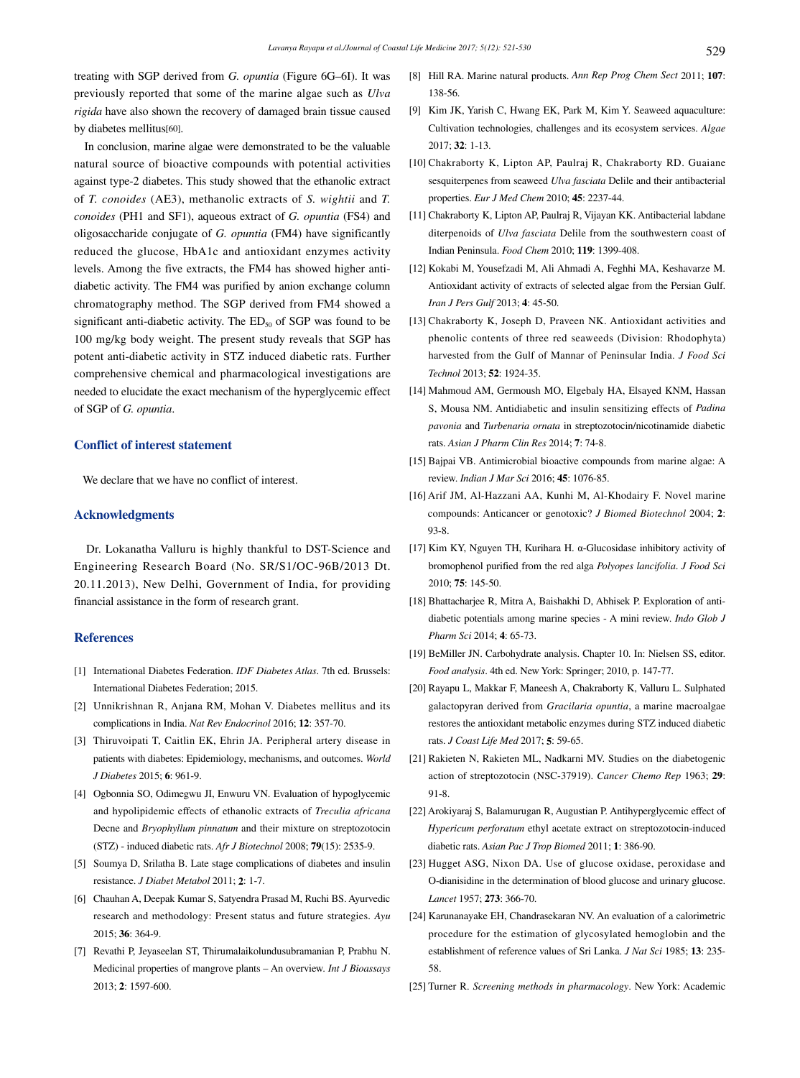treating with SGP derived from *G. opuntia* (Figure 6G–6I). It was previously reported that some of the marine algae such as *Ulva rigida* have also shown the recovery of damaged brain tissue caused by diabetes mellitus[60].

 In conclusion, marine algae were demonstrated to be the valuable natural source of bioactive compounds with potential activities against type-2 diabetes. This study showed that the ethanolic extract of *T. conoides* (AE3), methanolic extracts of *S. wightii* and *T. conoides* (PH1 and SF1), aqueous extract of *G. opuntia* (FS4) and oligosaccharide conjugate of *G. opuntia* (FM4) have significantly reduced the glucose, HbA1c and antioxidant enzymes activity levels. Among the five extracts, the FM4 has showed higher antidiabetic activity. The FM4 was purified by anion exchange column chromatography method. The SGP derived from FM4 showed a significant anti-diabetic activity. The  $ED<sub>50</sub>$  of SGP was found to be 100 mg/kg body weight. The present study reveals that SGP has potent anti-diabetic activity in STZ induced diabetic rats. Further comprehensive chemical and pharmacological investigations are needed to elucidate the exact mechanism of the hyperglycemic effect of SGP of *G. opuntia*.

## **Conflict of interest statement**

We declare that we have no conflict of interest.

#### **Acknowledgments**

 Dr. Lokanatha Valluru is highly thankful to DST-Science and Engineering Research Board (No. SR/S1/OC-96B/2013 Dt. 20.11.2013), New Delhi, Government of India, for providing financial assistance in the form of research grant.

#### **References**

- [1] International Diabetes Federation. *IDF Diabetes Atlas*. 7th ed. Brussels: International Diabetes Federation; 2015.
- [2] Unnikrishnan R, Anjana RM, Mohan V. Diabetes mellitus and its complications in India. *Nat Rev Endocrinol* 2016; **12**: 357-70.
- [3] Thiruvoipati T, Caitlin EK, Ehrin JA. Peripheral artery disease in patients with diabetes: Epidemiology, mechanisms, and outcomes. *World J Diabetes* 2015; **6**: 961-9.
- [4] Ogbonnia SO, Odimegwu JI, Enwuru VN. Evaluation of hypoglycemic and hypolipidemic effects of ethanolic extracts of *Treculia africana* Decne and *Bryophyllum pinnatum* and their mixture on streptozotocin (STZ) - induced diabetic rats. *Afr J Biotechnol* 2008; **79**(15): 2535-9.
- [5] Soumya D, Srilatha B. Late stage complications of diabetes and insulin resistance. *J Diabet Metabol* 2011; **2**: 1-7.
- [6] Chauhan A, Deepak Kumar S, Satyendra Prasad M, Ruchi BS. Ayurvedic research and methodology: Present status and future strategies. *Ayu*  2015; **36**: 364-9.
- [7] Revathi P, Jeyaseelan ST, Thirumalaikolundusubramanian P, Prabhu N. Medicinal properties of mangrove plants – An overview. *Int J Bioassays*  2013; **2**: 1597-600.
- [8] Hill RA. Marine natural products. *Ann Rep Prog Chem Sect* 2011; **107**: 138-56.
- [9] Kim JK, Yarish C, Hwang EK, Park M, Kim Y. Seaweed aquaculture: Cultivation technologies, challenges and its ecosystem services. *Algae* 2017; **32**: 1-13.
- [10] Chakraborty K, Lipton AP, Paulraj R, Chakraborty RD. Guaiane sesquiterpenes from seaweed *Ulva fasciata* Delile and their antibacterial properties. *Eur J Med Chem* 2010; **45**: 2237-44.
- [11] Chakraborty K, Lipton AP, Paulraj R, Vijayan KK. Antibacterial labdane diterpenoids of *Ulva fasciata* Delile from the southwestern coast of Indian Peninsula. *Food Chem* 2010; **119**: 1399-408.
- [12] Kokabi M, Yousefzadi M, Ali Ahmadi A, Feghhi MA, Keshavarze M. Antioxidant activity of extracts of selected algae from the Persian Gulf. *Iran J Pers Gulf* 2013; **4**: 45-50.
- [13] Chakraborty K, Joseph D, Praveen NK. Antioxidant activities and phenolic contents of three red seaweeds (Division: Rhodophyta) harvested from the Gulf of Mannar of Peninsular India. *J Food Sci Technol* 2013; **52**: 1924-35.
- [14] Mahmoud AM, Germoush MO, Elgebaly HA, Elsayed KNM, Hassan S, Mousa NM. Antidiabetic and insulin sensitizing effects of *Padina pavonia* and *Turbenaria ornata* in streptozotocin/nicotinamide diabetic rats. *Asian J Pharm Clin Res* 2014; **7**: 74-8.
- [15] Bajpai VB. Antimicrobial bioactive compounds from marine algae: A review. *Indian J Mar Sci* 2016; **45**: 1076-85.
- [16] Arif JM, Al-Hazzani AA, Kunhi M, Al-Khodairy F. Novel marine compounds: Anticancer or genotoxic? *J Biomed Biotechnol* 2004; **2**: 93-8.
- [17] Kim KY, Nguyen TH, Kurihara H. α-Glucosidase inhibitory activity of bromophenol purified from the red alga *Polyopes lancifolia*. *J Food Sci* 2010; **75**: 145-50.
- [18] Bhattacharjee R, Mitra A, Baishakhi D, Abhisek P. Exploration of antidiabetic potentials among marine species - A mini review. *Indo Glob J Pharm Sci* 2014; **4**: 65-73.
- [19] BeMiller JN. Carbohydrate analysis. Chapter 10. In: Nielsen SS, editor. *Food analysis*. 4th ed. New York: Springer; 2010, p. 147-77.
- [20] Rayapu L, Makkar F, Maneesh A, Chakraborty K, Valluru L. Sulphated galactopyran derived from *Gracilaria opuntia*, a marine macroalgae restores the antioxidant metabolic enzymes during STZ induced diabetic rats. *J Coast Life Med* 2017; **5**: 59-65.
- [21] Rakieten N, Rakieten ML, Nadkarni MV. Studies on the diabetogenic action of streptozotocin (NSC-37919). *Cancer Chemo Rep* 1963; **29**: 91-8.
- [22] Arokiyaraj S, Balamurugan R, Augustian P. Antihyperglycemic effect of *Hypericum perforatum* ethyl acetate extract on streptozotocin-induced diabetic rats. *Asian Pac J Trop Biomed* 2011; **1**: 386-90.
- [23] Hugget ASG, Nixon DA. Use of glucose oxidase, peroxidase and O-dianisidine in the determination of blood glucose and urinary glucose. *Lancet* 1957; **273**: 366-70.
- [24] Karunanayake EH, Chandrasekaran NV. An evaluation of a calorimetric procedure for the estimation of glycosylated hemoglobin and the establishment of reference values of Sri Lanka. *J Nat Sci* 1985; **13**: 235- 58.
- [25] Turner R. *Screening methods in pharmacology*. New York: Academic